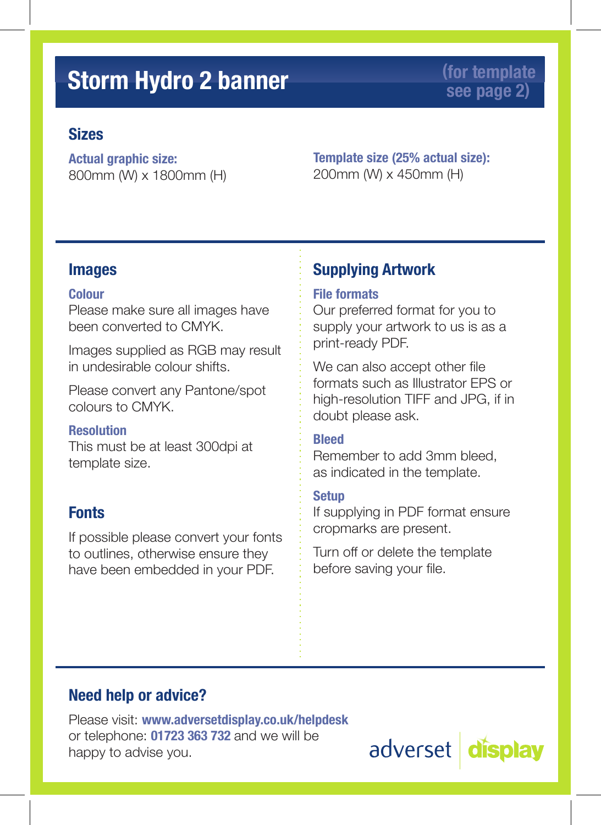### **Storm Hydro 2 banner (for template** (for template)

## **see page 2)**

#### **Sizes**

**Actual graphic size:** 800mm (W) x 1800mm (H) **Template size (25% actual size):** 200mm (W) x 450mm (H)

#### **Images**

#### **Colour**

Please make sure all images have been converted to CMYK.

Images supplied as RGB may result in undesirable colour shifts.

Please convert any Pantone/spot colours to CMYK.

#### **Resolution**

This must be at least 300dpi at template size.

#### **Fonts**

If possible please convert your fonts to outlines, otherwise ensure they have been embedded in your PDF.

#### **Supplying Artwork**

#### **File formats**

Our preferred format for you to supply your artwork to us is as a print-ready PDF.

We can also accept other file formats such as Illustrator EPS or high-resolution TIFF and JPG, if in doubt please ask.

#### **Bleed**

Remember to add 3mm bleed, as indicated in the template.

#### **Setup**

If supplying in PDF format ensure cropmarks are present.

Turn off or delete the template before saving your file.

#### **Need help or advice?**

Please visit: **www.adversetdisplay.co.uk/helpdesk** or telephone: **01723 363 732** and we will be happy to advise you.

adverset display